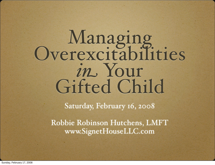# Managing<br>Overexcitabilities *in* Your Gifted Child

Saturday, February 16, 2008

Robbie Robinson Hutchens, LMFT www.SignetHouseLLC.com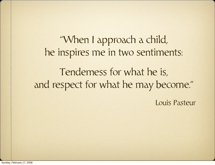"When I approach a child, he inspires me in two sentiments: Tenderness for what he is, and respect for what he may become."

Louis Pasteur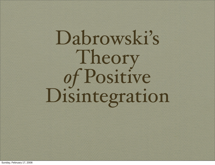## Dabrowski's Theory *of* Positive Disintegration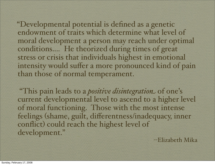"Developmental potential is defined as a genetic endowment of traits which determine what level of moral development a person may reach under optimal conditions.... He theorized during times of great stress or crisis that individuals highest in emotional intensity would suffer a more pronounced kind of pain than those of normal temperament.

 "This pain leads to a *positive disintegration* of one's current developmental level to ascend to a higher level of moral functioning. Those with the most intense feelings (shame, guilt, differentness/inadequacy, inner conflict) could reach the highest level of development."

--Elizabeth Mika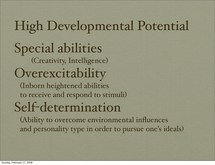#### High Developmental Potential Special abilities (Creativity, Intelligence) Overexcitability (Inborn heightened abilities to receive and respond to stimuli) Self-determination (Ability to overcome environmental influences and personality type in order to pursue one's ideals)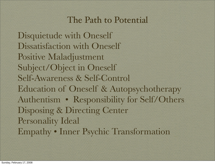#### The Path to Potential

Disquietude with Oneself Dissatisfaction with Oneself Positive Maladjustment Subject/Object in Oneself Self-Awareness & Self-Control Education of Oneself & Autopsychotherapy Authentism • Responsibility for Self/Others Disposing & Directing Center Personality Ideal Empathy • Inner Psychic Transformation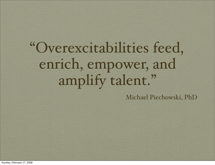"Overexcitabilities feed, enrich, empower, and amplify talent."

Michael Piechowski, PhD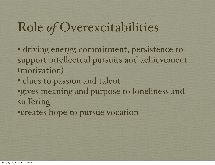#### Role *of* Overexcitabilities

• driving energy, commitment, persistence to support intellectual pursuits and achievement (motivation)

• clues to passion and talent •gives meaning and purpose to loneliness and suffering

•creates hope to pursue vocation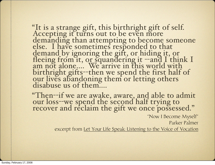"It is a strange gift, this birthright gift of self. Accepting it turns out to be even more demanding than attempting to become someone else. I have sometimes responded to that demand by ignoring the gift, or hiding it, or fleeing from it, or squandering it --and I think I am not alone.... We arrive in this world with birthright gifts--then we spend the first half of<br>our lives abandoning them or letting others disabuse us of them....

"Then--if we are awake, aware, and able to admit our loss--we spend the second half trying to recover and reclaim the gift we once possessed."

"Now I Become Myself" Parker Palmer excerpt from Let Your Life Speak: Listening to the Voice of Vocation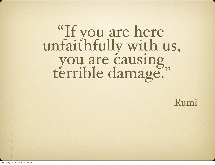# "If you are here unfaithfully with us, you are causing,

Rumi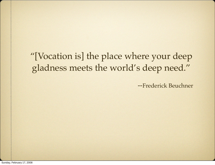#### "[Vocation is] the place where your deep gladness meets the world's deep need."

--Frederick Beuchner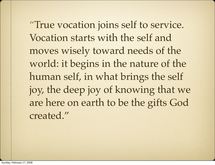"True vocation joins self to service. Vocation starts with the self and moves wisely toward needs of the world: it begins in the nature of the human self, in what brings the self joy, the deep joy of knowing that we are here on earth to be the gifts God created."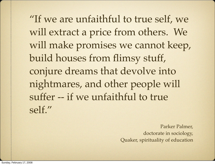"If we are unfaithful to true self, we will extract a price from others. We will make promises we cannot keep, build houses from flimsy stuff, conjure dreams that devolve into nightmares, and other people will suffer -- if we unfaithful to true self."

> Parker Palmer, doctorate in sociology, Quaker, spirituality of education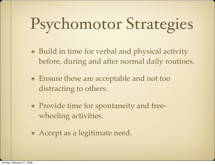### Psychomotor Strategies

- Build in time for verbal and physical activity before, during and after normal daily routines.
- Ensure these are acceptable and not too distracting to others.
- Provide time for spontaneity and freewheeling activities.
- Accept as a legitimate need.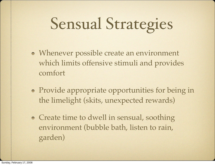### Sensual Strategies

- Whenever possible create an environment which limits offensive stimuli and provides comfort
- Provide appropriate opportunities for being in the limelight (skits, unexpected rewards)
- Create time to dwell in sensual, soothing environment (bubble bath, listen to rain, garden)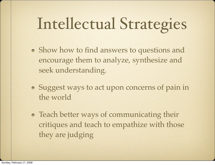### Intellectual Strategies

- Show how to find answers to questions and encourage them to analyze, synthesize and seek understanding.
- Suggest ways to act upon concerns of pain in the world
- Teach better ways of communicating their critiques and teach to empathize with those they are judging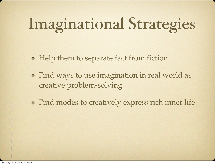### Imaginational Strategies

- Help them to separate fact from fiction
- Find ways to use imagination in real world as creative problem-solving
- Find modes to creatively express rich inner life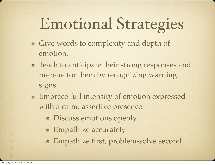### Emotional Strategies

- Give words to complexity and depth of emotion.
- Teach to anticipate their strong responses and prepare for them by recognizing warning signs.
- Embrace full intensity of emotion expressed with a calm, assertive presence.
	- Discuss emotions openly
	- Empathize accurately
	- Empathize first, problem-solve second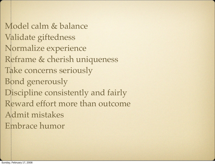Model calm & balance Validate giftedness Normalize experience Reframe & cherish uniqueness Take concerns seriously Bond generously Discipline consistently and fairly Reward effort more than outcome Admit mistakes Embrace humor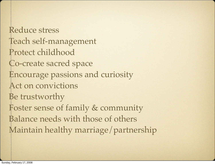Reduce stress Teach self-management Protect childhood Co-create sacred space Encourage passions and curiosity Act on convictions Be trustworthy Foster sense of family & community Balance needs with those of others Maintain healthy marriage/partnership